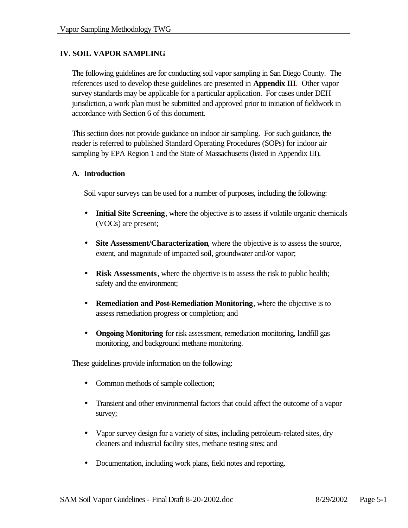# **IV. SOIL VAPOR SAMPLING**

The following guidelines are for conducting soil vapor sampling in San Diego County. The references used to develop these guidelines are presented in **Appendix III**. Other vapor survey standards may be applicable for a particular application. For cases under DEH jurisdiction, a work plan must be submitted and approved prior to initiation of fieldwork in accordance with Section 6 of this document.

This section does not provide guidance on indoor air sampling. For such guidance, the reader is referred to published Standard Operating Procedures (SOPs) for indoor air sampling by EPA Region 1 and the State of Massachusetts (listed in Appendix III).

### **A. Introduction**

Soil vapor surveys can be used for a number of purposes, including the following:

- **Initial Site Screening**, where the objective is to assess if volatile organic chemicals (VOCs) are present;
- **Site Assessment/Characterization**, where the objective is to assess the source, extent, and magnitude of impacted soil, groundwater and/or vapor;
- **Risk Assessments**, where the objective is to assess the risk to public health; safety and the environment;
- **Remediation and Post-Remediation Monitoring**, where the objective is to assess remediation progress or completion; and
- **Ongoing Monitoring** for risk assessment, remediation monitoring, landfill gas monitoring, and background methane monitoring.

These guidelines provide information on the following:

- Common methods of sample collection;
- Transient and other environmental factors that could affect the outcome of a vapor survey;
- Vapor survey design for a variety of sites, including petroleum-related sites, dry cleaners and industrial facility sites, methane testing sites; and
- Documentation, including work plans, field notes and reporting.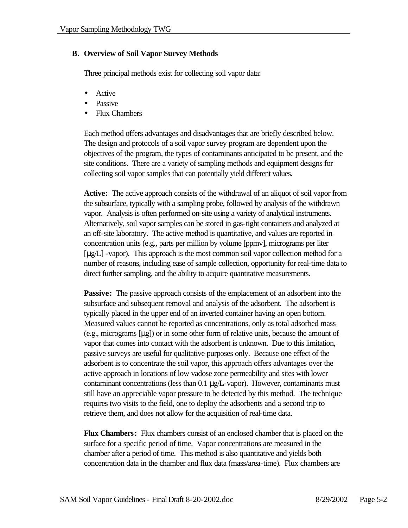## **B. Overview of Soil Vapor Survey Methods**

Three principal methods exist for collecting soil vapor data:

- Active
- Passive
- Flux Chambers

Each method offers advantages and disadvantages that are briefly described below. The design and protocols of a soil vapor survey program are dependent upon the objectives of the program, the types of contaminants anticipated to be present, and the site conditions. There are a variety of sampling methods and equipment designs for collecting soil vapor samples that can potentially yield different values.

**Active:** The active approach consists of the withdrawal of an aliquot of soil vapor from the subsurface, typically with a sampling probe, followed by analysis of the withdrawn vapor. Analysis is often performed on-site using a variety of analytical instruments. Alternatively, soil vapor samples can be stored in gas-tight containers and analyzed at an off-site laboratory. The active method is quantitative, and values are reported in concentration units (e.g., parts per million by volume [ppmv], micrograms per liter [μg/L] -vapor). This approach is the most common soil vapor collection method for a number of reasons, including ease of sample collection, opportunity for real-time data to direct further sampling, and the ability to acquire quantitative measurements.

**Passive:** The passive approach consists of the emplacement of an adsorbent into the subsurface and subsequent removal and analysis of the adsorbent. The adsorbent is typically placed in the upper end of an inverted container having an open bottom. Measured values cannot be reported as concentrations, only as total adsorbed mass (e.g., micrograms [μg]) or in some other form of relative units, because the amount of vapor that comes into contact with the adsorbent is unknown. Due to this limitation, passive surveys are useful for qualitative purposes only. Because one effect of the adsorbent is to concentrate the soil vapor, this approach offers advantages over the active approach in locations of low vadose zone permeability and sites with lower contaminant concentrations (less than  $0.1 \mu g/L$ -vapor). However, contaminants must still have an appreciable vapor pressure to be detected by this method. The technique requires two visits to the field, one to deploy the adsorbents and a second trip to retrieve them, and does not allow for the acquisition of real-time data.

**Flux Chambers:** Flux chambers consist of an enclosed chamber that is placed on the surface for a specific period of time. Vapor concentrations are measured in the chamber after a period of time. This method is also quantitative and yields both concentration data in the chamber and flux data (mass/area-time). Flux chambers are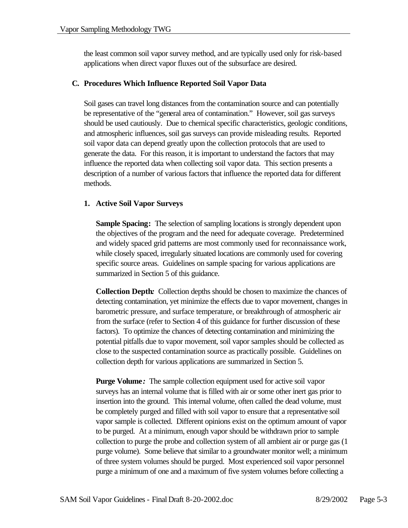the least common soil vapor survey method, and are typically used only for risk-based applications when direct vapor fluxes out of the subsurface are desired.

### **C. Procedures Which Influence Reported Soil Vapor Data**

Soil gases can travel long distances from the contamination source and can potentially be representative of the "general area of contamination." However, soil gas surveys should be used cautiously. Due to chemical specific characteristics, geologic conditions, and atmospheric influences, soil gas surveys can provide misleading results. Reported soil vapor data can depend greatly upon the collection protocols that are used to generate the data. For this reason, it is important to understand the factors that may influence the reported data when collecting soil vapor data. This section presents a description of a number of various factors that influence the reported data for different methods.

## **1. Active Soil Vapor Surveys**

**Sample Spacing:** The selection of sampling locations is strongly dependent upon the objectives of the program and the need for adequate coverage. Predetermined and widely spaced grid patterns are most commonly used for reconnaissance work, while closely spaced, irregularly situated locations are commonly used for covering specific source areas. Guidelines on sample spacing for various applications are summarized in Section 5 of this guidance.

**Collection Depth***:* Collection depths should be chosen to maximize the chances of detecting contamination, yet minimize the effects due to vapor movement, changes in barometric pressure, and surface temperature, or breakthrough of atmospheric air from the surface (refer to Section 4 of this guidance for further discussion of these factors). To optimize the chances of detecting contamination and minimizing the potential pitfalls due to vapor movement, soil vapor samples should be collected as close to the suspected contamination source as practically possible. Guidelines on collection depth for various applications are summarized in Section 5.

**Purge Volume**: The sample collection equipment used for active soil vapor surveys has an internal volume that is filled with air or some other inert gas prior to insertion into the ground. This internal volume, often called the dead volume, must be completely purged and filled with soil vapor to ensure that a representative soil vapor sample is collected. Different opinions exist on the optimum amount of vapor to be purged. At a minimum, enough vapor should be withdrawn prior to sample collection to purge the probe and collection system of all ambient air or purge gas (1 purge volume). Some believe that similar to a groundwater monitor well; a minimum of three system volumes should be purged. Most experienced soil vapor personnel purge a minimum of one and a maximum of five system volumes before collecting a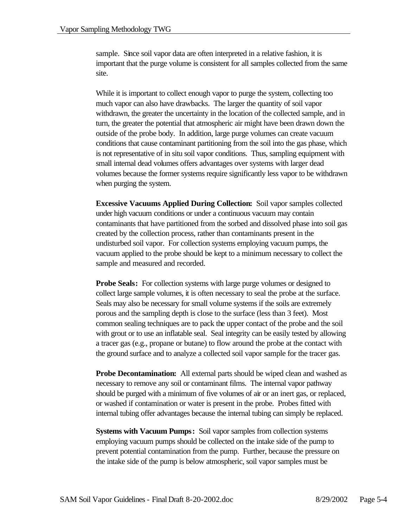sample. Since soil vapor data are often interpreted in a relative fashion, it is important that the purge volume is consistent for all samples collected from the same site.

While it is important to collect enough vapor to purge the system, collecting too much vapor can also have drawbacks. The larger the quantity of soil vapor withdrawn, the greater the uncertainty in the location of the collected sample, and in turn, the greater the potential that atmospheric air might have been drawn down the outside of the probe body. In addition, large purge volumes can create vacuum conditions that cause contaminant partitioning from the soil into the gas phase, which is not representative of in situ soil vapor conditions. Thus, sampling equipment with small internal dead volumes offers advantages over systems with larger dead volumes because the former systems require significantly less vapor to be withdrawn when purging the system.

**Excessive Vacuums Applied During Collection:** Soil vapor samples collected under high vacuum conditions or under a continuous vacuum may contain contaminants that have partitioned from the sorbed and dissolved phase into soil gas created by the collection process, rather than contaminants present in the undisturbed soil vapor. For collection systems employing vacuum pumps, the vacuum applied to the probe should be kept to a minimum necessary to collect the sample and measured and recorded.

**Probe Seals:** For collection systems with large purge volumes or designed to collect large sample volumes, it is often necessary to seal the probe at the surface. Seals may also be necessary for small volume systems if the soils are extremely porous and the sampling depth is close to the surface (less than 3 feet). Most common sealing techniques are to pack the upper contact of the probe and the soil with grout or to use an inflatable seal. Seal integrity can be easily tested by allowing a tracer gas (e.g., propane or butane) to flow around the probe at the contact with the ground surface and to analyze a collected soil vapor sample for the tracer gas.

**Probe Decontamination:** All external parts should be wiped clean and washed as necessary to remove any soil or contaminant films. The internal vapor pathway should be purged with a minimum of five volumes of air or an inert gas, or replaced, or washed if contamination or water is present in the probe. Probes fitted with internal tubing offer advantages because the internal tubing can simply be replaced.

**Systems with Vacuum Pumps:** Soil vapor samples from collection systems employing vacuum pumps should be collected on the intake side of the pump to prevent potential contamination from the pump. Further, because the pressure on the intake side of the pump is below atmospheric, soil vapor samples must be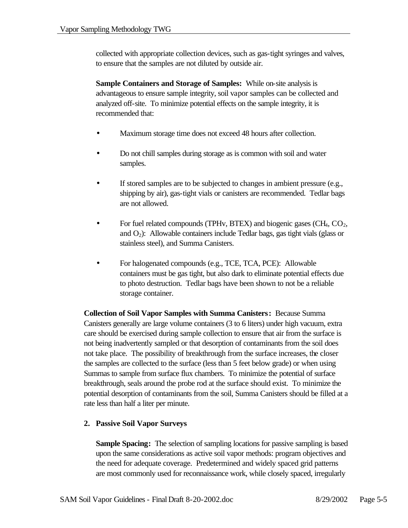collected with appropriate collection devices, such as gas-tight syringes and valves, to ensure that the samples are not diluted by outside air.

**Sample Containers and Storage of Samples:** While on-site analysis is advantageous to ensure sample integrity, soil vapor samples can be collected and analyzed off-site. To minimize potential effects on the sample integrity, it is recommended that:

- Maximum storage time does not exceed 48 hours after collection.
- Do not chill samples during storage as is common with soil and water samples.
- If stored samples are to be subjected to changes in ambient pressure (e.g., shipping by air), gas-tight vials or canisters are recommended. Tedlar bags are not allowed.
- For fuel related compounds (TPHv, BTEX) and biogenic gases (CH<sub>4</sub>, CO<sub>2</sub>, and  $O_2$ ): Allowable containers include Tedlar bags, gas tight vials (glass or stainless steel), and Summa Canisters.
- For halogenated compounds (e.g., TCE, TCA, PCE): Allowable containers must be gas tight, but also dark to eliminate potential effects due to photo destruction. Tedlar bags have been shown to not be a reliable storage container.

**Collection of Soil Vapor Samples with Summa Canisters:** Because Summa Canisters generally are large volume containers (3 to 6 liters) under high vacuum, extra care should be exercised during sample collection to ensure that air from the surface is not being inadvertently sampled or that desorption of contaminants from the soil does not take place. The possibility of breakthrough from the surface increases, the closer the samples are collected to the surface (less than 5 feet below grade) or when using Summas to sample from surface flux chambers. To minimize the potential of surface breakthrough, seals around the probe rod at the surface should exist. To minimize the potential desorption of contaminants from the soil, Summa Canisters should be filled at a rate less than half a liter per minute.

## **2. Passive Soil Vapor Surveys**

**Sample Spacing:** The selection of sampling locations for passive sampling is based upon the same considerations as active soil vapor methods: program objectives and the need for adequate coverage. Predetermined and widely spaced grid patterns are most commonly used for reconnaissance work, while closely spaced, irregularly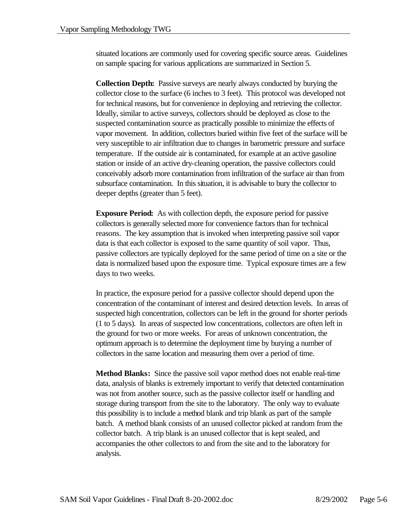situated locations are commonly used for covering specific source areas. Guidelines on sample spacing for various applications are summarized in Section 5.

**Collection Depth:** Passive surveys are nearly always conducted by burying the collector close to the surface (6 inches to 3 feet). This protocol was developed not for technical reasons, but for convenience in deploying and retrieving the collector. Ideally, similar to active surveys, collectors should be deployed as close to the suspected contamination source as practically possible to minimize the effects of vapor movement. In addition, collectors buried within five feet of the surface will be very susceptible to air infiltration due to changes in barometric pressure and surface temperature. If the outside air is contaminated, for example at an active gasoline station or inside of an active dry-cleaning operation, the passive collectors could conceivably adsorb more contamination from infiltration of the surface air than from subsurface contamination. In this situation, it is advisable to bury the collector to deeper depths (greater than 5 feet).

**Exposure Period:** As with collection depth, the exposure period for passive collectors is generally selected more for convenience factors than for technical reasons. The key assumption that is invoked when interpreting passive soil vapor data is that each collector is exposed to the same quantity of soil vapor. Thus, passive collectors are typically deployed for the same period of time on a site or the data is normalized based upon the exposure time. Typical exposure times are a few days to two weeks.

In practice, the exposure period for a passive collector should depend upon the concentration of the contaminant of interest and desired detection levels. In areas of suspected high concentration, collectors can be left in the ground for shorter periods (1 to 5 days). In areas of suspected low concentrations, collectors are often left in the ground for two or more weeks. For areas of unknown concentration, the optimum approach is to determine the deployment time by burying a number of collectors in the same location and measuring them over a period of time.

**Method Blanks:** Since the passive soil vapor method does not enable real-time data, analysis of blanks is extremely important to verify that detected contamination was not from another source, such as the passive collector itself or handling and storage during transport from the site to the laboratory. The only way to evaluate this possibility is to include a method blank and trip blank as part of the sample batch. A method blank consists of an unused collector picked at random from the collector batch. A trip blank is an unused collector that is kept sealed, and accompanies the other collectors to and from the site and to the laboratory for analysis.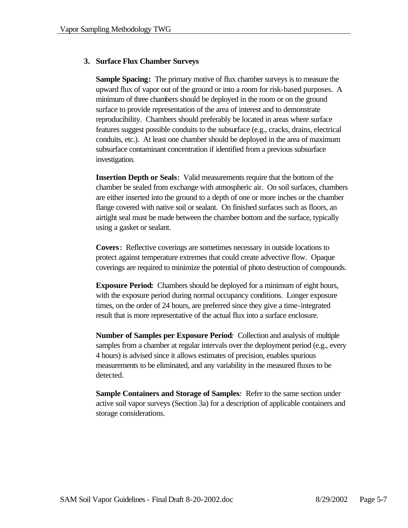### **3. Surface Flux Chamber Surveys**

**Sample Spacing:** The primary motive of flux chamber surveys is to measure the upward flux of vapor out of the ground or into a room for risk-based purposes. A minimum of three chambers should be deployed in the room or on the ground surface to provide representation of the area of interest and to demonstrate reproducibility. Chambers should preferably be located in areas where surface features suggest possible conduits to the subsurface (e.g., cracks, drains, electrical conduits, etc.). At least one chamber should be deployed in the area of maximum subsurface contaminant concentration if identified from a previous subsurface investigation.

**Insertion Depth or Seals:** Valid measurements require that the bottom of the chamber be sealed from exchange with atmospheric air. On soil surfaces, chambers are either inserted into the ground to a depth of one or more inches or the chamber flange covered with native soil or sealant. On finished surfaces such as floors, an airtight seal must be made between the chamber bottom and the surface, typically using a gasket or sealant.

**Covers:** Reflective coverings are sometimes necessary in outside locations to protect against temperature extremes that could create advective flow. Opaque coverings are required to minimize the potential of photo destruction of compounds.

**Exposure Period:** Chambers should be deployed for a minimum of eight hours, with the exposure period during normal occupancy conditions. Longer exposure times, on the order of 24 hours, are preferred since they give a time-integrated result that is more representative of the actual flux into a surface enclosure.

**Number of Samples per Exposure Period***:* Collection and analysis of multiple samples from a chamber at regular intervals over the deployment period (e.g., every 4 hours) is advised since it allows estimates of precision, enables spurious measurements to be eliminated, and any variability in the measured fluxes to be detected.

**Sample Containers and Storage of Samples***:*Refer to the same section under active soil vapor surveys (Section 3a) for a description of applicable containers and storage considerations.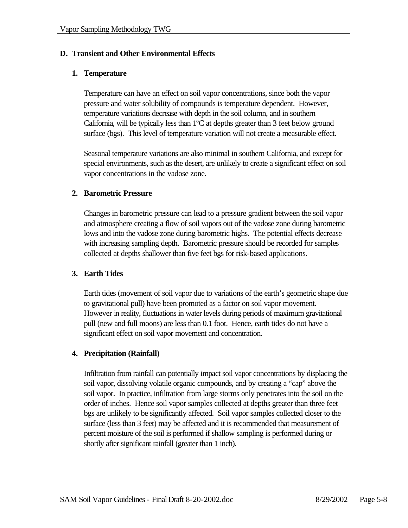## **D. Transient and Other Environmental Effects**

#### **1. Temperature**

Temperature can have an effect on soil vapor concentrations, since both the vapor pressure and water solubility of compounds is temperature dependent. However, temperature variations decrease with depth in the soil column, and in southern California, will be typically less than  $1^{\circ}$ C at depths greater than 3 feet below ground surface (bgs). This level of temperature variation will not create a measurable effect.

Seasonal temperature variations are also minimal in southern California, and except for special environments, such as the desert, are unlikely to create a significant effect on soil vapor concentrations in the vadose zone.

### **2. Barometric Pressure**

Changes in barometric pressure can lead to a pressure gradient between the soil vapor and atmosphere creating a flow of soil vapors out of the vadose zone during barometric lows and into the vadose zone during barometric highs. The potential effects decrease with increasing sampling depth. Barometric pressure should be recorded for samples collected at depths shallower than five feet bgs for risk-based applications.

## **3. Earth Tides**

Earth tides (movement of soil vapor due to variations of the earth's geometric shape due to gravitational pull) have been promoted as a factor on soil vapor movement. However in reality, fluctuations in water levels during periods of maximum gravitational pull (new and full moons) are less than 0.1 foot. Hence, earth tides do not have a significant effect on soil vapor movement and concentration.

## **4. Precipitation (Rainfall)**

Infiltration from rainfall can potentially impact soil vapor concentrations by displacing the soil vapor, dissolving volatile organic compounds, and by creating a "cap" above the soil vapor. In practice, infiltration from large storms only penetrates into the soil on the order of inches. Hence soil vapor samples collected at depths greater than three feet bgs are unlikely to be significantly affected. Soil vapor samples collected closer to the surface (less than 3 feet) may be affected and it is recommended that measurement of percent moisture of the soil is performed if shallow sampling is performed during or shortly after significant rainfall (greater than 1 inch).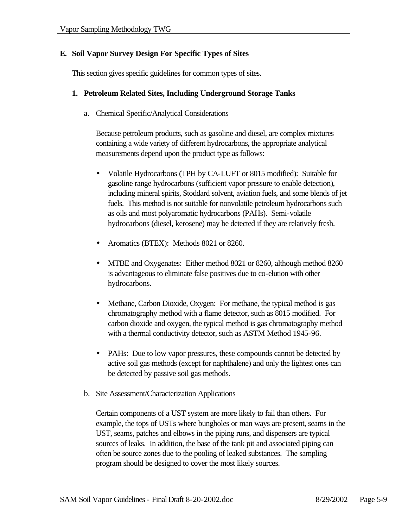## **E. Soil Vapor Survey Design For Specific Types of Sites**

This section gives specific guidelines for common types of sites.

#### **1. Petroleum Related Sites, Including Underground Storage Tanks**

a. Chemical Specific/Analytical Considerations

Because petroleum products, such as gasoline and diesel, are complex mixtures containing a wide variety of different hydrocarbons, the appropriate analytical measurements depend upon the product type as follows:

- Volatile Hydrocarbons (TPH by CA-LUFT or 8015 modified): Suitable for gasoline range hydrocarbons (sufficient vapor pressure to enable detection), including mineral spirits, Stoddard solvent, aviation fuels, and some blends of jet fuels. This method is not suitable for nonvolatile petroleum hydrocarbons such as oils and most polyaromatic hydrocarbons (PAHs). Semi-volatile hydrocarbons (diesel, kerosene) may be detected if they are relatively fresh.
- Aromatics (BTEX): Methods 8021 or 8260.
- MTBE and Oxygenates: Either method 8021 or 8260, although method 8260 is advantageous to eliminate false positives due to co-elution with other hydrocarbons.
- Methane, Carbon Dioxide, Oxygen: For methane, the typical method is gas chromatography method with a flame detector, such as 8015 modified. For carbon dioxide and oxygen, the typical method is gas chromatography method with a thermal conductivity detector, such as ASTM Method 1945-96.
- PAHs: Due to low vapor pressures, these compounds cannot be detected by active soil gas methods (except for naphthalene) and only the lightest ones can be detected by passive soil gas methods.
- b. Site Assessment/Characterization Applications

Certain components of a UST system are more likely to fail than others. For example, the tops of USTs where bungholes or man ways are present, seams in the UST, seams, patches and elbows in the piping runs, and dispensers are typical sources of leaks. In addition, the base of the tank pit and associated piping can often be source zones due to the pooling of leaked substances. The sampling program should be designed to cover the most likely sources.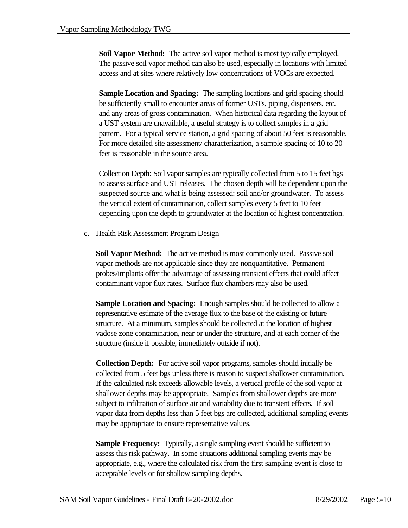**Soil Vapor Method:** The active soil vapor method is most typically employed. The passive soil vapor method can also be used, especially in locations with limited access and at sites where relatively low concentrations of VOCs are expected.

**Sample Location and Spacing:** The sampling locations and grid spacing should be sufficiently small to encounter areas of former USTs, piping, dispensers, etc. and any areas of gross contamination. When historical data regarding the layout of a UST system are unavailable, a useful strategy is to collect samples in a grid pattern. For a typical service station, a grid spacing of about 50 feet is reasonable. For more detailed site assessment/ characterization, a sample spacing of 10 to 20 feet is reasonable in the source area.

Collection Depth: Soil vapor samples are typically collected from 5 to 15 feet bgs to assess surface and UST releases. The chosen depth will be dependent upon the suspected source and what is being assessed: soil and/or groundwater. To assess the vertical extent of contamination, collect samples every 5 feet to 10 feet depending upon the depth to groundwater at the location of highest concentration.

c. Health Risk Assessment Program Design

**Soil Vapor Method:** The active method is most commonly used. Passive soil vapor methods are not applicable since they are nonquantitative. Permanent probes/implants offer the advantage of assessing transient effects that could affect contaminant vapor flux rates. Surface flux chambers may also be used.

**Sample Location and Spacing:** Enough samples should be collected to allow a representative estimate of the average flux to the base of the existing or future structure. At a minimum, samples should be collected at the location of highest vadose zone contamination, near or under the structure, and at each corner of the structure (inside if possible, immediately outside if not).

**Collection Depth:** For active soil vapor programs, samples should initially be collected from 5 feet bgs unless there is reason to suspect shallower contamination. If the calculated risk exceeds allowable levels, a vertical profile of the soil vapor at shallower depths may be appropriate. Samples from shallower depths are more subject to infiltration of surface air and variability due to transient effects. If soil vapor data from depths less than 5 feet bgs are collected, additional sampling events may be appropriate to ensure representative values.

**Sample Frequency:** Typically, a single sampling event should be sufficient to assess this risk pathway. In some situations additional sampling events may be appropriate, e.g., where the calculated risk from the first sampling event is close to acceptable levels or for shallow sampling depths.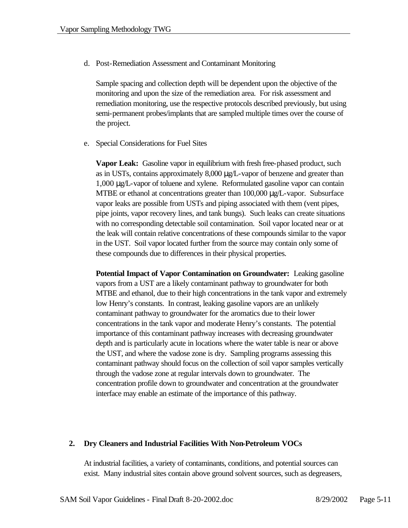d. Post-Remediation Assessment and Contaminant Monitoring

Sample spacing and collection depth will be dependent upon the objective of the monitoring and upon the size of the remediation area. For risk assessment and remediation monitoring, use the respective protocols described previously, but using semi-permanent probes/implants that are sampled multiple times over the course of the project.

e. Special Considerations for Fuel Sites

**Vapor Leak:** Gasoline vapor in equilibrium with fresh free-phased product, such as in USTs, contains approximately 8,000 μg/L-vapor of benzene and greater than 1,000 μg/L-vapor of toluene and xylene. Reformulated gasoline vapor can contain MTBE or ethanol at concentrations greater than 100,000 μg/L-vapor. Subsurface vapor leaks are possible from USTs and piping associated with them (vent pipes, pipe joints, vapor recovery lines, and tank bungs). Such leaks can create situations with no corresponding detectable soil contamination. Soil vapor located near or at the leak will contain relative concentrations of these compounds similar to the vapor in the UST. Soil vapor located further from the source may contain only some of these compounds due to differences in their physical properties.

**Potential Impact of Vapor Contamination on Groundwater:** Leaking gasoline vapors from a UST are a likely contaminant pathway to groundwater for both MTBE and ethanol, due to their high concentrations in the tank vapor and extremely low Henry's constants. In contrast, leaking gasoline vapors are an unlikely contaminant pathway to groundwater for the aromatics due to their lower concentrations in the tank vapor and moderate Henry's constants. The potential importance of this contaminant pathway increases with decreasing groundwater depth and is particularly acute in locations where the water table is near or above the UST, and where the vadose zone is dry. Sampling programs assessing this contaminant pathway should focus on the collection of soil vapor samples vertically through the vadose zone at regular intervals down to groundwater. The concentration profile down to groundwater and concentration at the groundwater interface may enable an estimate of the importance of this pathway.

#### **2. Dry Cleaners and Industrial Facilities With Non-Petroleum VOCs**

At industrial facilities, a variety of contaminants, conditions, and potential sources can exist. Many industrial sites contain above ground solvent sources, such as degreasers,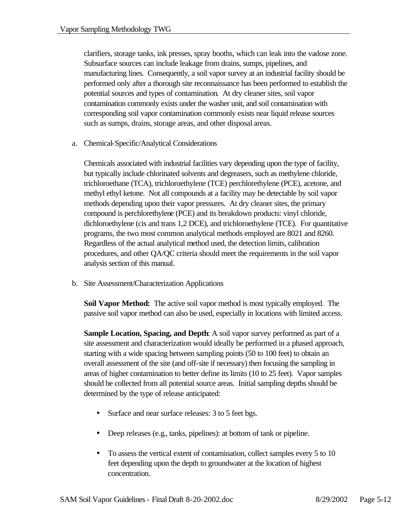clarifiers, storage tanks, ink presses, spray booths, which can leak into the vadose zone. Subsurface sources can include leakage from drains, sumps, pipelines, and manufacturing lines. Consequently, a soil vapor survey at an industrial facility should be performed only after a thorough site reconnaissance has been performed to establish the potential sources and types of contamination. At dry cleaner sites, soil vapor contamination commonly exists under the washer unit, and soil contamination with corresponding soil vapor contamination commonly exists near liquid release sources such as sumps, drains, storage areas, and other disposal areas.

a. Chemical-Specific/Analytical Considerations

Chemicals associated with industrial facilities vary depending upon the type of facility, but typically include chlorinated solvents and degreasers, such as methylene chloride, trichloroethane (TCA), trichloroethylene (TCE) perchlorethylene (PCE), acetone, and methyl ethyl ketone. Not all compounds at a facility may be detectable by soil vapor methods depending upon their vapor pressures. At dry cleaner sites, the primary compound is perchlorethylene (PCE) and its breakdown products: vinyl chloride, dichloroethylene (cis and trans 1,2 DCE), and trichloroethylene (TCE). For quantitative programs, the two most common analytical methods employed are 8021 and 8260. Regardless of the actual analytical method used, the detection limits, calibration procedures, and other QA/QC criteria should meet the requirements in the soil vapor analysis section of this manual.

b. Site Assessment/Characterization Applications

**Soil Vapor Method:** The active soil vapor method is most typically employed. The passive soil vapor method can also be used, especially in locations with limited access.

**Sample Location, Spacing, and Depth**: A soil vapor survey performed as part of a site assessment and characterization would ideally be performed in a phased approach, starting with a wide spacing between sampling points (50 to 100 feet) to obtain an overall assessment of the site (and off-site if necessary) then focusing the sampling in areas of higher contamination to better define its limits (10 to 25 feet). Vapor samples should be collected from all potential source areas. Initial sampling depths should be determined by the type of release anticipated:

- Surface and near surface releases: 3 to 5 feet bgs.
- Deep releases (e.g., tanks, pipelines): at bottom of tank or pipeline.
- To assess the vertical extent of contamination, collect samples every 5 to 10 feet depending upon the depth to groundwater at the location of highest concentration.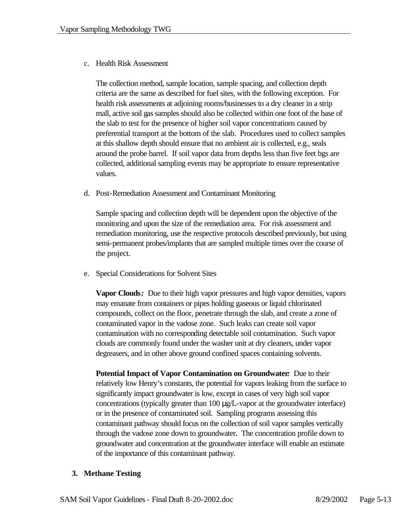#### c. Health Risk Assessment

The collection method, sample location, sample spacing, and collection depth criteria are the same as described for fuel sites, with the following exception. For health risk assessments at adjoining rooms/businesses to a dry cleaner in a strip mall, active soil gas samples should also be collected within one foot of the base of the slab to test for the presence of higher soil vapor concentrations caused by preferential transport at the bottom of the slab. Procedures used to collect samples at this shallow depth should ensure that no ambient air is collected, e.g., seals around the probe barrel. If soil vapor data from depths less than five feet bgs are collected, additional sampling events may be appropriate to ensure representative values.

d. Post-Remediation Assessment and Contaminant Monitoring

Sample spacing and collection depth will be dependent upon the objective of the monitoring and upon the size of the remediation area. For risk assessment and remediation monitoring, use the respective protocols described previously, but using semi-permanent probes/implants that are sampled multiple times over the course of the project.

e. Special Considerations for Solvent Sites

**Vapor Clouds***:* Due to their high vapor pressures and high vapor densities, vapors may emanate from containers or pipes holding gaseous or liquid chlorinated compounds, collect on the floor, penetrate through the slab, and create a zone of contaminated vapor in the vadose zone. Such leaks can create soil vapor contamination with no corresponding detectable soil contamination. Such vapor clouds are commonly found under the washer unit at dry cleaners, under vapor degreasers, and in other above ground confined spaces containing solvents.

**Potential Impact of Vapor Contamination on Groundwater***:* Due to their relatively low Henry's constants, the potential for vapors leaking from the surface to significantly impact groundwater is low, except in cases of very high soil vapor concentrations (typically greater than 100 μg/L-vapor at the groundwater interface) or in the presence of contaminated soil. Sampling programs assessing this contaminant pathway should focus on the collection of soil vapor samples vertically through the vadose zone down to groundwater. The concentration profile down to groundwater and concentration at the groundwater interface will enable an estimate of the importance of this contaminant pathway.

#### **3. Methane Testing**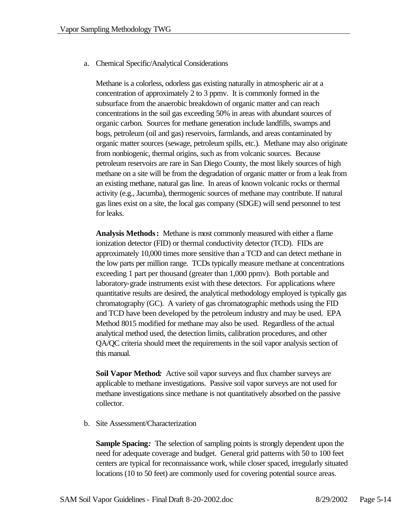a. Chemical Specific/Analytical Considerations

Methane is a colorless, odorless gas existing naturally in atmospheric air at a concentration of approximately 2 to 3 ppmv. It is commonly formed in the subsurface from the anaerobic breakdown of organic matter and can reach concentrations in the soil gas exceeding 50% in areas with abundant sources of organic carbon. Sources for methane generation include landfills, swamps and bogs, petroleum (oil and gas) reservoirs, farmlands, and areas contaminated by organic matter sources (sewage, petroleum spills, etc.). Methane may also originate from nonbiogenic, thermal origins, such as from volcanic sources. Because petroleum reservoirs are rare in San Diego County, the most likely sources of high methane on a site will be from the degradation of organic matter or from a leak from an existing methane, natural gas line. In areas of known volcanic rocks or thermal activity (e.g., Jacumba), thermogenic sources of methane may contribute. If natural gas lines exist on a site, the local gas company (SDGE) will send personnel to test for leaks.

**Analysis Methods:** Methane is most commonly measured with either a flame ionization detector (FID) or thermal conductivity detector (TCD). FIDs are approximately 10,000 times more sensitive than a TCD and can detect methane in the low parts per million range. TCDs typically measure methane at concentrations exceeding 1 part per thousand (greater than 1,000 ppmv). Both portable and laboratory-grade instruments exist with these detectors. For applications where quantitative results are desired, the analytical methodology employed is typically gas chromatography (GC). A variety of gas chromatographic methods using the FID and TCD have been developed by the petroleum industry and may be used. EPA Method 8015 modified for methane may also be used. Regardless of the actual analytical method used, the detection limits, calibration procedures, and other QA/QC criteria should meet the requirements in the soil vapor analysis section of this manual.

**Soil Vapor Method***:* Active soil vapor surveys and flux chamber surveys are applicable to methane investigations. Passive soil vapor surveys are not used for methane investigations since methane is not quantitatively absorbed on the passive collector.

b. Site Assessment/Characterization

**Sample Spacing***:* The selection of sampling points is strongly dependent upon the need for adequate coverage and budget. General grid patterns with 50 to 100 feet centers are typical for reconnaissance work, while closer spaced, irregularly situated locations (10 to 50 feet) are commonly used for covering potential source areas.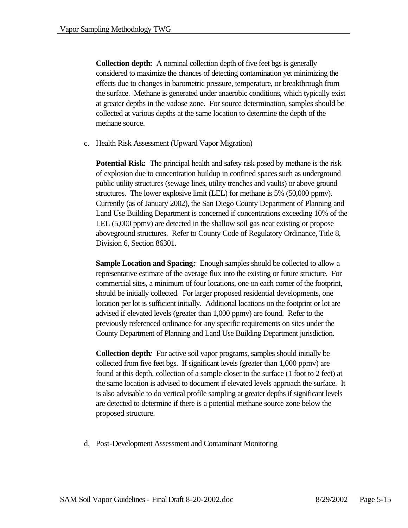**Collection depth:** A nominal collection depth of five feet bgs is generally considered to maximize the chances of detecting contamination yet minimizing the effects due to changes in barometric pressure, temperature, or breakthrough from the surface. Methane is generated under anaerobic conditions, which typically exist at greater depths in the vadose zone. For source determination, samples should be collected at various depths at the same location to determine the depth of the methane source.

c. Health Risk Assessment (Upward Vapor Migration)

**Potential Risk:** The principal health and safety risk posed by methane is the risk of explosion due to concentration buildup in confined spaces such as underground public utility structures (sewage lines, utility trenches and vaults) or above ground structures. The lower explosive limit (LEL) for methane is 5% (50,000 ppmv). Currently (as of January 2002), the San Diego County Department of Planning and Land Use Building Department is concerned if concentrations exceeding 10% of the LEL (5,000 ppmv) are detected in the shallow soil gas near existing or propose aboveground structures. Refer to County Code of Regulatory Ordinance, Title 8, Division 6, Section 86301.

**Sample Location and Spacing***:* Enough samples should be collected to allow a representative estimate of the average flux into the existing or future structure. For commercial sites, a minimum of four locations, one on each corner of the footprint, should be initially collected. For larger proposed residential developments, one location per lot is sufficient initially. Additional locations on the footprint or lot are advised if elevated levels (greater than 1,000 ppmv) are found. Refer to the previously referenced ordinance for any specific requirements on sites under the County Department of Planning and Land Use Building Department jurisdiction.

**Collection depth***:*For active soil vapor programs, samples should initially be collected from five feet bgs. If significant levels (greater than 1,000 ppmv) are found at this depth, collection of a sample closer to the surface (1 foot to 2 feet) at the same location is advised to document if elevated levels approach the surface. It is also advisable to do vertical profile sampling at greater depths if significant levels are detected to determine if there is a potential methane source zone below the proposed structure.

d. Post-Development Assessment and Contaminant Monitoring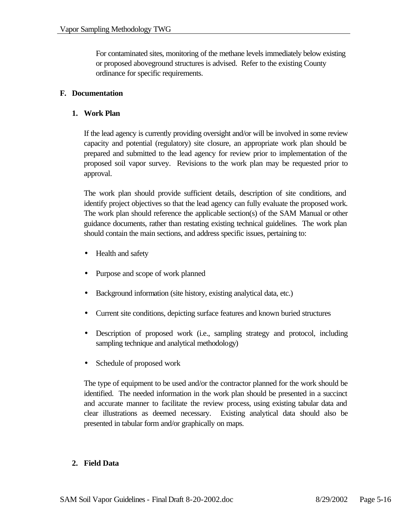For contaminated sites, monitoring of the methane levels immediately below existing or proposed aboveground structures is advised. Refer to the existing County ordinance for specific requirements.

### **F. Documentation**

#### **1. Work Plan**

If the lead agency is currently providing oversight and/or will be involved in some review capacity and potential (regulatory) site closure, an appropriate work plan should be prepared and submitted to the lead agency for review prior to implementation of the proposed soil vapor survey. Revisions to the work plan may be requested prior to approval.

The work plan should provide sufficient details, description of site conditions, and identify project objectives so that the lead agency can fully evaluate the proposed work. The work plan should reference the applicable section(s) of the SAM Manual or other guidance documents, rather than restating existing technical guidelines. The work plan should contain the main sections, and address specific issues, pertaining to:

- Health and safety
- Purpose and scope of work planned
- Background information (site history, existing analytical data, etc.)
- Current site conditions, depicting surface features and known buried structures
- Description of proposed work (i.e., sampling strategy and protocol, including sampling technique and analytical methodology)
- Schedule of proposed work

The type of equipment to be used and/or the contractor planned for the work should be identified. The needed information in the work plan should be presented in a succinct and accurate manner to facilitate the review process, using existing tabular data and clear illustrations as deemed necessary. Existing analytical data should also be presented in tabular form and/or graphically on maps.

## **2. Field Data**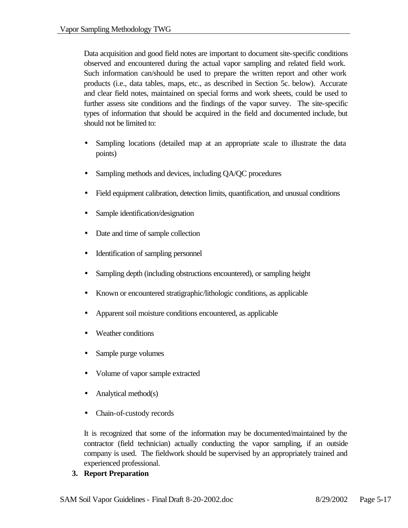Data acquisition and good field notes are important to document site-specific conditions observed and encountered during the actual vapor sampling and related field work. Such information can/should be used to prepare the written report and other work products (i.e., data tables, maps, etc., as described in Section 5c. below). Accurate and clear field notes, maintained on special forms and work sheets, could be used to further assess site conditions and the findings of the vapor survey. The site-specific types of information that should be acquired in the field and documented include, but should not be limited to:

- Sampling locations (detailed map at an appropriate scale to illustrate the data points)
- Sampling methods and devices, including QA/QC procedures
- Field equipment calibration, detection limits, quantification, and unusual conditions
- Sample identification/designation
- Date and time of sample collection
- Identification of sampling personnel
- Sampling depth (including obstructions encountered), or sampling height
- Known or encountered stratigraphic/lithologic conditions, as applicable
- Apparent soil moisture conditions encountered, as applicable
- Weather conditions
- Sample purge volumes
- Volume of vapor sample extracted
- Analytical method(s)
- Chain-of-custody records

It is recognized that some of the information may be documented/maintained by the contractor (field technician) actually conducting the vapor sampling, if an outside company is used. The fieldwork should be supervised by an appropriately trained and experienced professional.

## **3. Report Preparation**